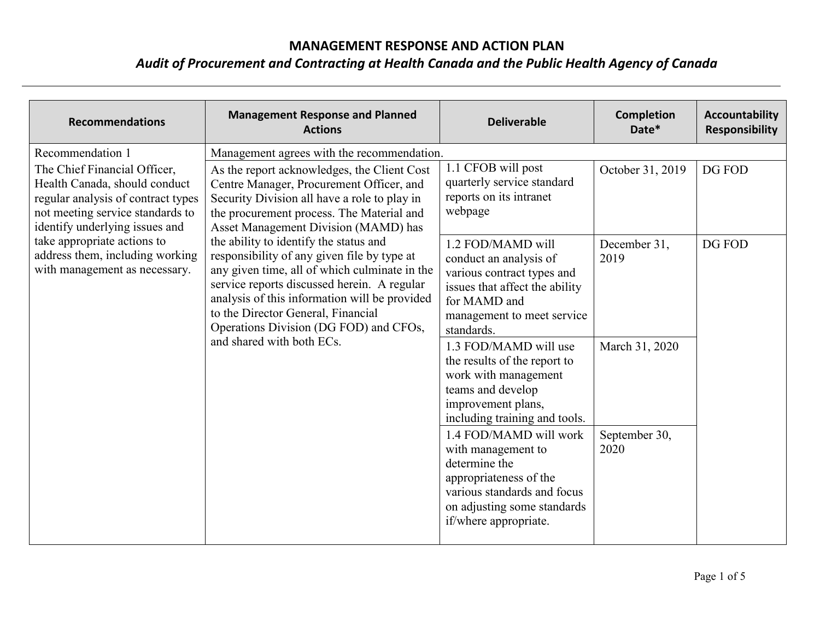| <b>Recommendations</b>                                                                                                                                                                                                                                                                           | <b>Management Response and Planned</b><br><b>Actions</b>                                                                                                                                                                                                                                                                                                                                                                                                                                                                                                                                                                          | <b>Deliverable</b>                                                                                                                                                                                                                                                                                                                                                                                                                                                             | <b>Completion</b><br>Date*                                                          | <b>Accountability</b><br><b>Responsibility</b> |
|--------------------------------------------------------------------------------------------------------------------------------------------------------------------------------------------------------------------------------------------------------------------------------------------------|-----------------------------------------------------------------------------------------------------------------------------------------------------------------------------------------------------------------------------------------------------------------------------------------------------------------------------------------------------------------------------------------------------------------------------------------------------------------------------------------------------------------------------------------------------------------------------------------------------------------------------------|--------------------------------------------------------------------------------------------------------------------------------------------------------------------------------------------------------------------------------------------------------------------------------------------------------------------------------------------------------------------------------------------------------------------------------------------------------------------------------|-------------------------------------------------------------------------------------|------------------------------------------------|
| Recommendation 1<br>The Chief Financial Officer,<br>Health Canada, should conduct<br>regular analysis of contract types<br>not meeting service standards to<br>identify underlying issues and<br>take appropriate actions to<br>address them, including working<br>with management as necessary. | Management agrees with the recommendation.<br>As the report acknowledges, the Client Cost<br>Centre Manager, Procurement Officer, and<br>Security Division all have a role to play in<br>the procurement process. The Material and<br>Asset Management Division (MAMD) has<br>the ability to identify the status and<br>responsibility of any given file by type at<br>any given time, all of which culminate in the<br>service reports discussed herein. A regular<br>analysis of this information will be provided<br>to the Director General, Financial<br>Operations Division (DG FOD) and CFOs,<br>and shared with both ECs. | 1.1 CFOB will post<br>quarterly service standard<br>reports on its intranet<br>webpage<br>1.2 FOD/MAMD will<br>conduct an analysis of<br>various contract types and<br>issues that affect the ability<br>for MAMD and<br>management to meet service<br>standards.<br>1.3 FOD/MAMD will use<br>the results of the report to<br>work with management<br>teams and develop<br>improvement plans,<br>including training and tools.<br>1.4 FOD/MAMD will work<br>with management to | October 31, 2019<br>December 31,<br>2019<br>March 31, 2020<br>September 30,<br>2020 | DG FOD<br>DG FOD                               |
|                                                                                                                                                                                                                                                                                                  |                                                                                                                                                                                                                                                                                                                                                                                                                                                                                                                                                                                                                                   | determine the<br>appropriateness of the<br>various standards and focus<br>on adjusting some standards<br>if/where appropriate.                                                                                                                                                                                                                                                                                                                                                 |                                                                                     |                                                |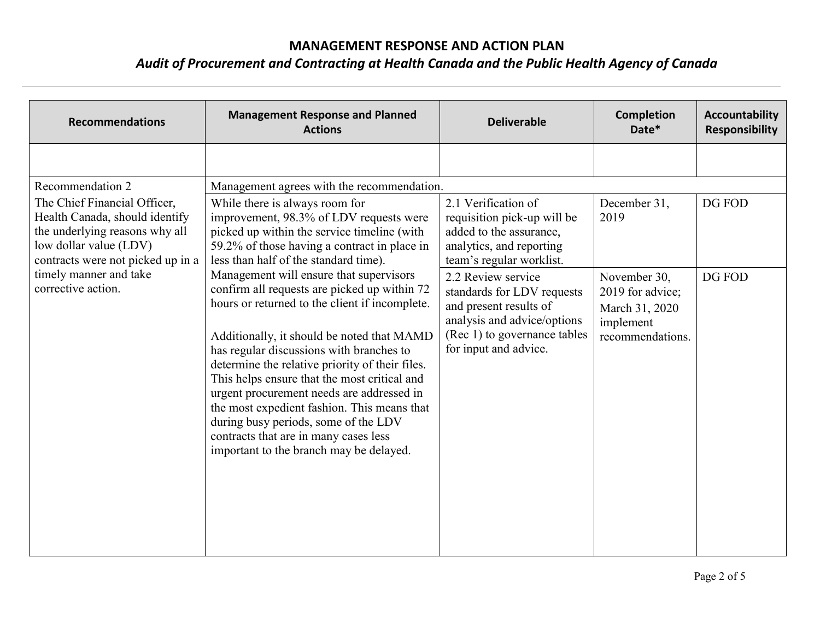| <b>Recommendations</b>                                                                                                                                                                                                              | <b>Management Response and Planned</b><br><b>Actions</b>                                                                                                                                                                                                                                                                                                                                                                                                                                                                                                                                                                                                                                                                                                                                                                          | <b>Deliverable</b>                                                                                                                                                                                                                                                                                          | <b>Completion</b><br>Date*                                                                                  | Accountability<br><b>Responsibility</b> |
|-------------------------------------------------------------------------------------------------------------------------------------------------------------------------------------------------------------------------------------|-----------------------------------------------------------------------------------------------------------------------------------------------------------------------------------------------------------------------------------------------------------------------------------------------------------------------------------------------------------------------------------------------------------------------------------------------------------------------------------------------------------------------------------------------------------------------------------------------------------------------------------------------------------------------------------------------------------------------------------------------------------------------------------------------------------------------------------|-------------------------------------------------------------------------------------------------------------------------------------------------------------------------------------------------------------------------------------------------------------------------------------------------------------|-------------------------------------------------------------------------------------------------------------|-----------------------------------------|
| Recommendation 2<br>The Chief Financial Officer,<br>Health Canada, should identify<br>the underlying reasons why all<br>low dollar value (LDV)<br>contracts were not picked up in a<br>timely manner and take<br>corrective action. | Management agrees with the recommendation.<br>While there is always room for<br>improvement, 98.3% of LDV requests were<br>picked up within the service timeline (with<br>59.2% of those having a contract in place in<br>less than half of the standard time).<br>Management will ensure that supervisors<br>confirm all requests are picked up within 72<br>hours or returned to the client if incomplete.<br>Additionally, it should be noted that MAMD<br>has regular discussions with branches to<br>determine the relative priority of their files.<br>This helps ensure that the most critical and<br>urgent procurement needs are addressed in<br>the most expedient fashion. This means that<br>during busy periods, some of the LDV<br>contracts that are in many cases less<br>important to the branch may be delayed. | 2.1 Verification of<br>requisition pick-up will be<br>added to the assurance,<br>analytics, and reporting<br>team's regular worklist.<br>2.2 Review service<br>standards for LDV requests<br>and present results of<br>analysis and advice/options<br>(Rec 1) to governance tables<br>for input and advice. | December 31,<br>2019<br>November 30,<br>2019 for advice;<br>March 31, 2020<br>implement<br>recommendations. | DG FOD<br>DG FOD                        |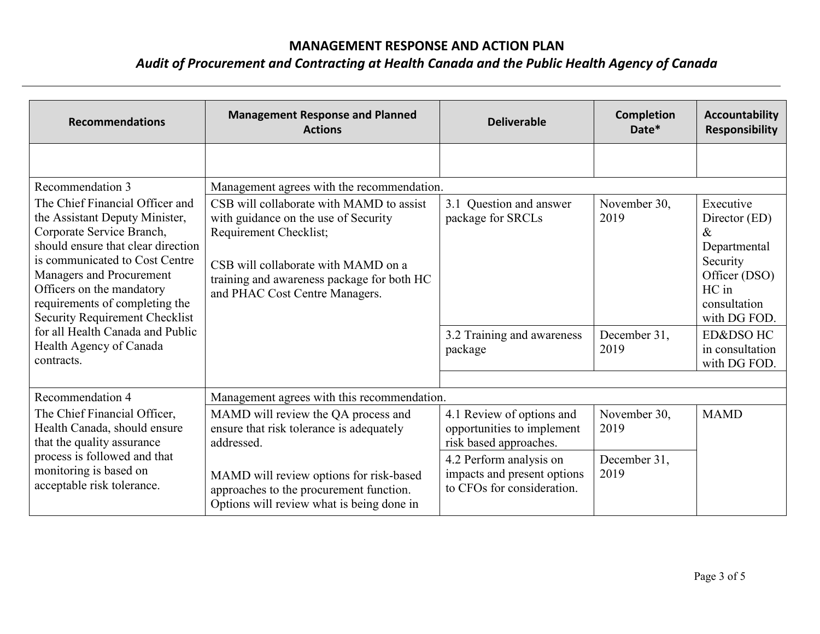| <b>Recommendations</b>                                                                                                                                                                                                                                                                                     | <b>Management Response and Planned</b><br><b>Actions</b>                                                                                                                                                                          | <b>Deliverable</b>                                                                   | Completion<br>Date*  | <b>Accountability</b><br><b>Responsibility</b>                                                                           |
|------------------------------------------------------------------------------------------------------------------------------------------------------------------------------------------------------------------------------------------------------------------------------------------------------------|-----------------------------------------------------------------------------------------------------------------------------------------------------------------------------------------------------------------------------------|--------------------------------------------------------------------------------------|----------------------|--------------------------------------------------------------------------------------------------------------------------|
|                                                                                                                                                                                                                                                                                                            |                                                                                                                                                                                                                                   |                                                                                      |                      |                                                                                                                          |
| Recommendation 3                                                                                                                                                                                                                                                                                           | Management agrees with the recommendation.                                                                                                                                                                                        |                                                                                      |                      |                                                                                                                          |
| The Chief Financial Officer and<br>the Assistant Deputy Minister,<br>Corporate Service Branch,<br>should ensure that clear direction<br>is communicated to Cost Centre<br>Managers and Procurement<br>Officers on the mandatory<br>requirements of completing the<br><b>Security Requirement Checklist</b> | CSB will collaborate with MAMD to assist<br>with guidance on the use of Security<br>Requirement Checklist;<br>CSB will collaborate with MAMD on a<br>training and awareness package for both HC<br>and PHAC Cost Centre Managers. | 3.1 Question and answer<br>package for SRCLs                                         | November 30,<br>2019 | Executive<br>Director (ED)<br>$\&$<br>Departmental<br>Security<br>Officer (DSO)<br>HC in<br>consultation<br>with DG FOD. |
| for all Health Canada and Public<br>Health Agency of Canada<br>contracts.                                                                                                                                                                                                                                  |                                                                                                                                                                                                                                   | 3.2 Training and awareness<br>package                                                | December 31,<br>2019 | <b>ED&amp;DSO HC</b><br>in consultation<br>with DG FOD.                                                                  |
|                                                                                                                                                                                                                                                                                                            |                                                                                                                                                                                                                                   |                                                                                      |                      |                                                                                                                          |
| Recommendation 4                                                                                                                                                                                                                                                                                           | Management agrees with this recommendation.                                                                                                                                                                                       |                                                                                      |                      |                                                                                                                          |
| The Chief Financial Officer,<br>Health Canada, should ensure<br>that the quality assurance                                                                                                                                                                                                                 | MAMD will review the QA process and<br>ensure that risk tolerance is adequately<br>addressed.                                                                                                                                     | 4.1 Review of options and<br>opportunities to implement<br>risk based approaches.    | November 30,<br>2019 | <b>MAMD</b>                                                                                                              |
| process is followed and that<br>monitoring is based on<br>acceptable risk tolerance.                                                                                                                                                                                                                       | MAMD will review options for risk-based<br>approaches to the procurement function.<br>Options will review what is being done in                                                                                                   | 4.2 Perform analysis on<br>impacts and present options<br>to CFOs for consideration. | December 31,<br>2019 |                                                                                                                          |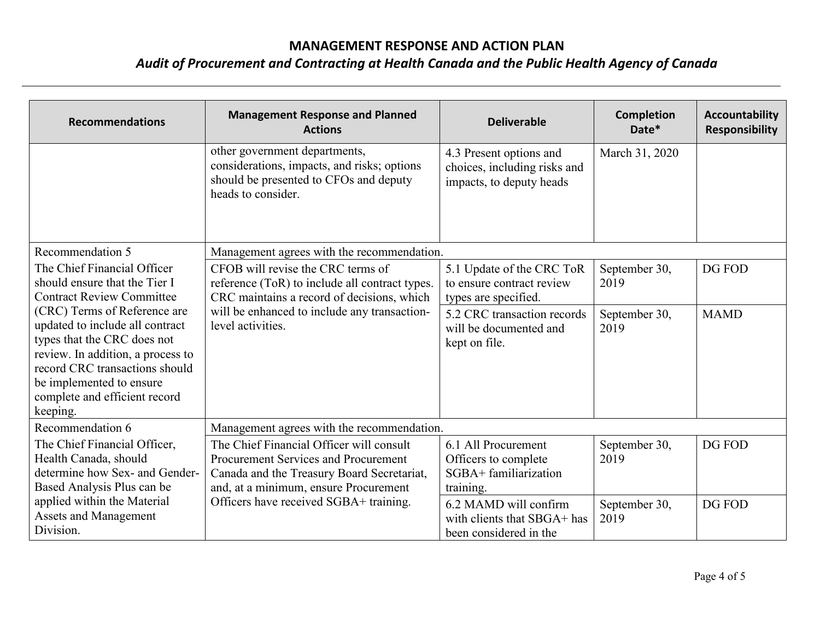| <b>Recommendations</b>                                                                                                                                                                                                                         | <b>Management Response and Planned</b><br><b>Actions</b>                                                                                                                       | <b>Deliverable</b>                                                                  | <b>Completion</b><br>Date* | <b>Accountability</b><br><b>Responsibility</b> |
|------------------------------------------------------------------------------------------------------------------------------------------------------------------------------------------------------------------------------------------------|--------------------------------------------------------------------------------------------------------------------------------------------------------------------------------|-------------------------------------------------------------------------------------|----------------------------|------------------------------------------------|
|                                                                                                                                                                                                                                                | other government departments,<br>considerations, impacts, and risks; options<br>should be presented to CFOs and deputy<br>heads to consider.                                   | 4.3 Present options and<br>choices, including risks and<br>impacts, to deputy heads | March 31, 2020             |                                                |
| Recommendation 5                                                                                                                                                                                                                               | Management agrees with the recommendation.                                                                                                                                     |                                                                                     |                            |                                                |
| The Chief Financial Officer<br>should ensure that the Tier I<br><b>Contract Review Committee</b>                                                                                                                                               | CFOB will revise the CRC terms of<br>reference (ToR) to include all contract types.<br>CRC maintains a record of decisions, which                                              | 5.1 Update of the CRC ToR<br>to ensure contract review<br>types are specified.      | September 30,<br>2019      | DG FOD                                         |
| (CRC) Terms of Reference are<br>updated to include all contract<br>types that the CRC does not<br>review. In addition, a process to<br>record CRC transactions should<br>be implemented to ensure<br>complete and efficient record<br>keeping. | will be enhanced to include any transaction-<br>level activities.                                                                                                              | 5.2 CRC transaction records<br>will be documented and<br>kept on file.              | September 30,<br>2019      | <b>MAMD</b>                                    |
| Recommendation 6                                                                                                                                                                                                                               | Management agrees with the recommendation.                                                                                                                                     |                                                                                     |                            |                                                |
| The Chief Financial Officer,<br>Health Canada, should<br>determine how Sex- and Gender-<br>Based Analysis Plus can be                                                                                                                          | The Chief Financial Officer will consult<br><b>Procurement Services and Procurement</b><br>Canada and the Treasury Board Secretariat,<br>and, at a minimum, ensure Procurement | 6.1 All Procurement<br>Officers to complete<br>SGBA+ familiarization<br>training.   | September 30,<br>2019      | DG FOD                                         |
| applied within the Material<br>Assets and Management<br>Division.                                                                                                                                                                              | Officers have received SGBA+ training.                                                                                                                                         | 6.2 MAMD will confirm<br>with clients that SBGA+ has<br>been considered in the      | September 30,<br>2019      | DG FOD                                         |